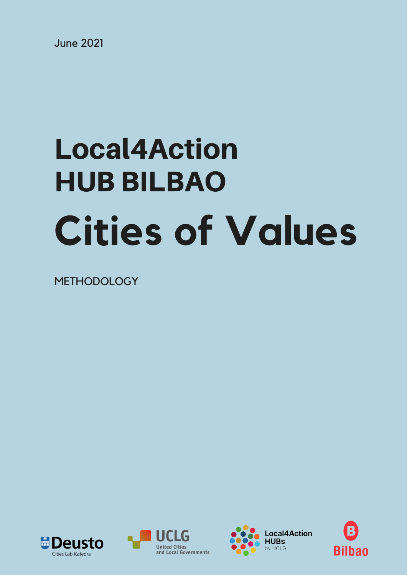June 2021

# **Cities of Values** Local4Action HUB BILBAO

METHODOLOGY







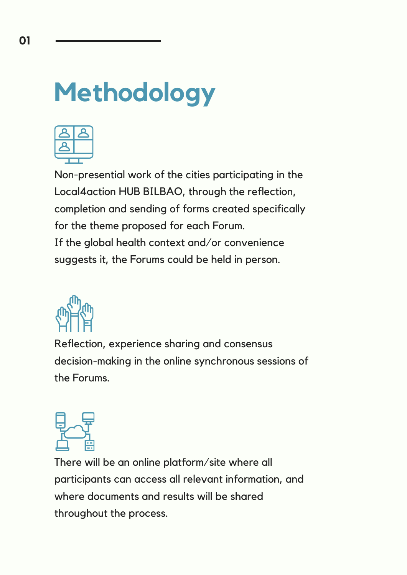### **Methodology**



Non-presential work of the cities participating in the Local4action HUB BILBAO, through the reflection, completion and sending of forms created specifically for the theme proposed for each Forum. If the global health context and/or convenience suggests it, the Forums could be held in person.



Reflection, experience sharing and consensus decision-making in the online synchronous sessions of the Forums.



There will be an online platform/site where all participants can access all relevant information, and where documents and results will be shared throughout the process.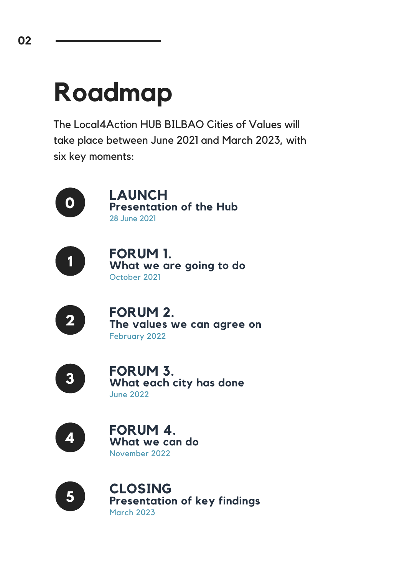### **Roadmap**

The Local4Action HUB BILBAO Cities of Values will take place between June 2021 and March 2023, with six key moments:



**LAUNCH Presentation of the Hub** 28 June 2021



**FORUM 1. What we are going to do** October 2021



**FORUM 2. The values we can agree on** February 2022



**FORUM 3. What each city has done** June 2022



**FORUM 4.** November 2022 **What we can do**



**CLOSING** March 2023 **Presentation of key findings**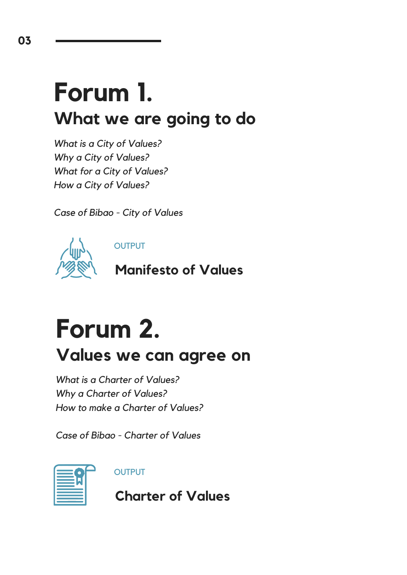#### **Forum 1. What we are going to do**

*What is a City of Values? Why a City of Values? What for a City of Values? How a City of Values?*

*Case of Bibao - City of Values*



**OUTPUT** 

**Manifesto of Values**

#### **Forum 2.**

#### **Values we can agree on**

*What is a Charter of Values? Why a Charter of Values? How to make a Charter of Values?*

*Case of Bibao - Charter of Values*



**OUTPUT** 

**Charter of Values**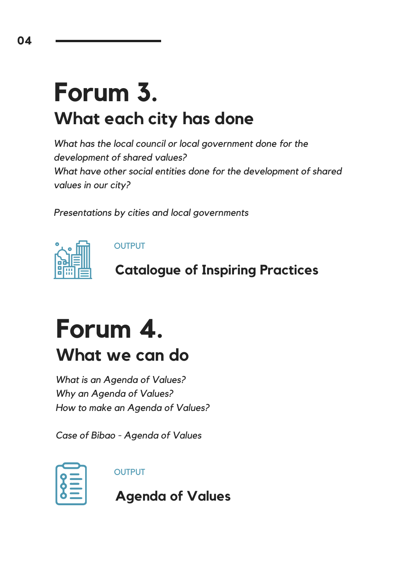#### **Forum 3. What each city has done**

*What has the local council or local government done for the development of shared values? What have other social entities done for the development of shared values in our city?*

*Presentations by cities and local governments*



**OUTPUT** 

**Catalogue of Inspiring Practices**

#### **Forum 4.**

**What we can do**

*What is an Agenda of Values? Why an Agenda of Values? How to make an Agenda of Values?*

*Case of Bibao - Agenda of Values*

**OUTPUT** 

**Agenda of Values**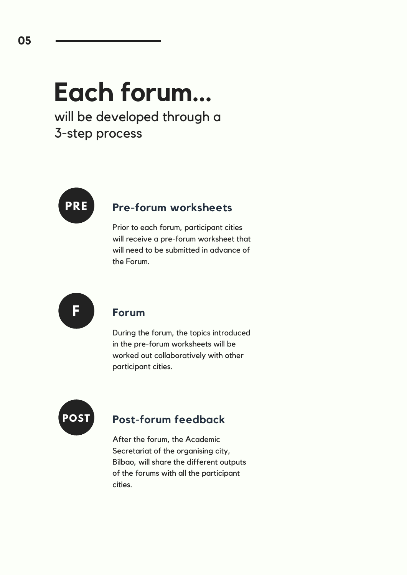## **Each forum...**

will be developed through a 3-step process



#### **Pre-forum worksheets**

Prior to each forum, participant cities will receive a pre-forum worksheet that will need to be submitted in advance of the Forum.



#### **Forum**

During the forum, the topics introduced in the pre-forum worksheets will be worked out collaboratively with other participant cities.



#### **Post-forum feedback**

After the forum, the Academic Secretariat of the organising city, Bilbao, will share the different outputs of the forums with all the participant cities.